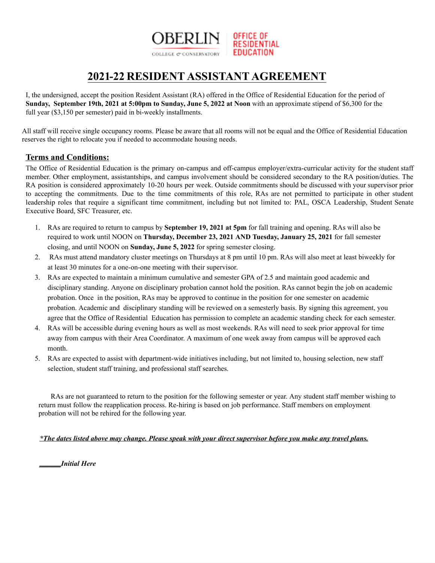

# 2021-22 RESIDENT ASSISTANT AGREEMENT

I, the undersigned, accept the position Resident Assistant (RA) offered in the Office of Residential Education for the period of **Sunday, September 19th, 2021 at 5:00pm to Sunday, June 5, 2022 at Noon** with an approximate stipend of \$6,300 for the full year (\$3,150 per semester) paid in bi-weekly installments.

All staff will receive single occupancy rooms. Please be aware that all rooms will not be equal and the Office of Residential Education reserves the right to relocate you if needed to accommodate housing needs.

# **Terms and Conditions:**

The Office of Residential Education is the primary on-campus and off-campus employer/extra-curricular activity for the student staff member. Other employment, assistantships, and campus involvement should be considered secondary to the RA position/duties. The RA position is considered approximately 10-20 hours per week. Outside commitments should be discussed with your supervisor prior to accepting the commitments. Due to the time commitments of this role, RAs are not permitted to participate in other student leadership roles that require a significant time commitment, including but not limited to: PAL, OSCA Leadership, Student Senate Executive Board, SFC Treasurer, etc.

- 1. RAs are required to return to campus by **September 19, 2021 at 5pm** for fall training and opening. RAs will also be required to work until NOON on **Thursday, December 23, 2021 AND Tuesday, January 25, 2021** for fall semester closing, and until NOON on **Sunday, June 5, 2022** for spring semester closing.
- 2. RAs must attend mandatory cluster meetings on Thursdays at 8 pm until 10 pm. RAs will also meet at least biweekly for at least 30 minutes for a one-on-one meeting with their supervisor.
- 3. RAs are expected to maintain a minimum cumulative and semester GPA of 2.5 and maintain good academic and disciplinary standing. Anyone on disciplinary probation cannot hold the position. RAs cannot begin the job on academic probation. Once in the position, RAs may be approved to continue in the position for one semester on academic probation. Academic and disciplinary standing will be reviewed on a semesterly basis. By signing this agreement, you agree that the Office of Residential Education has permission to complete an academic standing check for each semester.
- 4. RAs will be accessible during evening hours as well as most weekends. RAs will need to seek prior approval for time away from campus with their Area Coordinator. A maximum of one week away from campus will be approved each month.
- 5. RAs are expected to assist with department-wide initiatives including, but not limited to, housing selection, new staff selection, student staff training, and professional staff searches.

RAs are not guaranteed to return to the position for the following semester or year. Any student staff member wishing to return must follow the reapplication process. Re-hiring is based on job performance. Staff members on employment probation will not be rehired for the following year.

## \*The dates listed above may change. Please speak with your direct supervisor before you make any travel plans.

*\_\_\_\_\_\_Initial Here*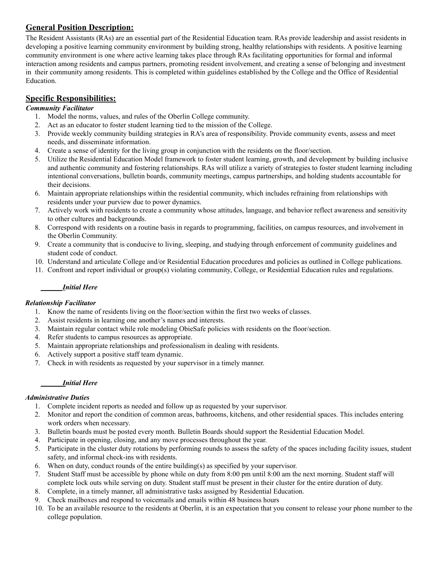# **General Position Description:**

The Resident Assistants (RAs) are an essential part of the Residential Education team. RAs provide leadership and assist residents in developing a positive learning community environment by building strong, healthy relationships with residents. A positive learning community environment is one where active learning takes place through RAs facilitating opportunities for formal and informal interaction among residents and campus partners, promoting resident involvement, and creating a sense of belonging and investment in their community among residents. This is completed within guidelines established by the College and the Office of Residential Education.

# **Specific Responsibilities:**

# *Community Facilitator*

- 1. Model the norms, values, and rules of the Oberlin College community.
- 2. Act as an educator to foster student learning tied to the mission of the College.
- 3. Provide weekly community building strategies in RA's area of responsibility. Provide community events, assess and meet needs, and disseminate information.
- 4. Create a sense of identity for the living group in conjunction with the residents on the floor/section.
- 5. Utilize the Residential Education Model framework to foster student learning, growth, and development by building inclusive and authentic community and fostering relationships. RAs will utilize a variety of strategies to foster student learning including intentional conversations, bulletin boards, community meetings, campus partnerships, and holding students accountable for their decisions.
- 6. Maintain appropriate relationships within the residential community, which includes refraining from relationships with residents under your purview due to power dynamics.
- 7. Actively work with residents to create a community whose attitudes, language, and behavior reflect awareness and sensitivity to other cultures and backgrounds.
- 8. Correspond with residents on a routine basis in regards to programming, facilities, on campus resources, and involvement in the Oberlin Community.
- 9. Create a community that is conducive to living, sleeping, and studying through enforcement of community guidelines and student code of conduct.
- 10. Understand and articulate College and/or Residential Education procedures and policies as outlined in College publications.
- 11. Confront and report individual or group(s) violating community, College, or Residential Education rules and regulations.

## *\_\_\_\_\_\_Initial Here*

## *Relationship Facilitator*

- 1. Know the name of residents living on the floor/section within the first two weeks of classes.
- 2. Assist residents in learning one another's names and interests.
- 3. Maintain regular contact while role modeling ObieSafe policies with residents on the floor/section.
- 4. Refer students to campus resources as appropriate.
- 5. Maintain appropriate relationships and professionalism in dealing with residents.
- 6. Actively support a positive staff team dynamic.
- 7. Check in with residents as requested by your supervisor in a timely manner.

## *\_\_\_\_\_\_Initial Here*

## *Administrative Duties*

- 1. Complete incident reports as needed and follow up as requested by your supervisor.
- 2. Monitor and report the condition of common areas, bathrooms, kitchens, and other residential spaces. This includes entering work orders when necessary.
- 3. Bulletin boards must be posted every month. Bulletin Boards should support the Residential Education Model.
- 4. Participate in opening, closing, and any move processes throughout the year.
- 5. Participate in the cluster duty rotations by performing rounds to assess the safety of the spaces including facility issues, student safety, and informal check-ins with residents.
- 6. When on duty, conduct rounds of the entire building(s) as specified by your supervisor.
- 7. Student Staff must be accessible by phone while on duty from 8:00 pm until 8:00 am the next morning. Student staff will complete lock outs while serving on duty. Student staff must be present in their cluster for the entire duration of duty.
- 8. Complete, in a timely manner, all administrative tasks assigned by Residential Education.
- 9. Check mailboxes and respond to voicemails and emails within 48 business hours
- 10. To be an available resource to the residents at Oberlin, it is an expectation that you consent to release your phone number to the college population.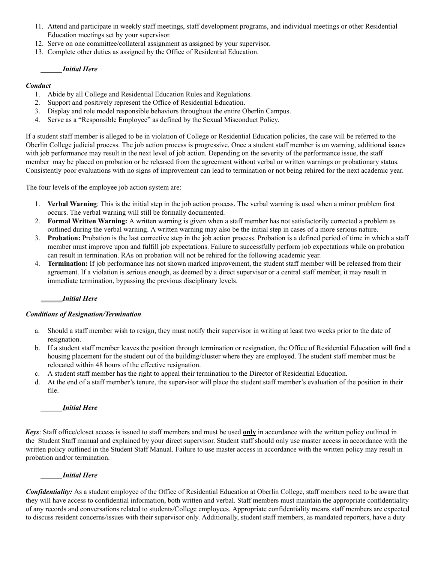- 11. Attend and participate in weekly staff meetings, staff development programs, and individual meetings or other Residential Education meetings set by your supervisor.
- 12. Serve on one committee/collateral assignment as assigned by your supervisor.
- 13. Complete other duties as assigned by the Office of Residential Education.

#### *\_\_\_\_\_\_Initial Here*

#### *Conduct*

- 1. Abide by all College and Residential Education Rules and Regulations.
- 2. Support and positively represent the Office of Residential Education.
- 3. Display and role model responsible behaviors throughout the entire Oberlin Campus.
- 4. Serve as a "Responsible Employee" as defined by the Sexual Misconduct Policy.

If a student staff member is alleged to be in violation of College or Residential Education policies, the case will be referred to the Oberlin College judicial process. The job action process is progressive. Once a student staff member is on warning, additional issues with job performance may result in the next level of job action. Depending on the severity of the performance issue, the staff member may be placed on probation or be released from the agreement without verbal or written warnings or probationary status. Consistently poor evaluations with no signs of improvement can lead to termination or not being rehired for the next academic year.

The four levels of the employee job action system are:

- 1. **Verbal Warning**: This is the initial step in the job action process. The verbal warning is used when a minor problem first occurs. The verbal warning will still be formally documented.
- 2. **Formal Written Warning:** A written warning is given when a staff member has not satisfactorily corrected a problem as outlined during the verbal warning. A written warning may also be the initial step in cases of a more serious nature.
- 3. **Probation:** Probation is the last corrective step in the job action process. Probation is a defined period of time in which a staff member must improve upon and fulfill job expectations. Failure to successfully perform job expectations while on probation can result in termination. RAs on probation will not be rehired for the following academic year.
- 4. **Termination:** If job performance has not shown marked improvement, the student staff member will be released from their agreement. If a violation is serious enough, as deemed by a direct supervisor or a central staff member, it may result in immediate termination, bypassing the previous disciplinary levels.

## *\_\_\_\_\_\_Initial Here*

#### *Conditions of Resignation/Termination*

- a. Should a staff member wish to resign, they must notify their supervisor in writing at least two weeks prior to the date of resignation.
- b. If a student staff member leaves the position through termination or resignation, the Office of Residential Education will find a housing placement for the student out of the building/cluster where they are employed. The student staff member must be relocated within 48 hours of the effective resignation.
- c. A student staff member has the right to appeal their termination to the Director of Residential Education.
- d. At the end of a staff member's tenure, the supervisor will place the student staff member's evaluation of the position in their file.

#### *\_\_\_\_\_\_Initial Here*

*Keys*: Staff office/closet access is issued to staff members and must be used **only** in accordance with the written policy outlined in the Student Staff manual and explained by your direct supervisor. Student staff should only use master access in accordance with the written policy outlined in the Student Staff Manual. Failure to use master access in accordance with the written policy may result in probation and/or termination.

#### *\_\_\_\_\_\_Initial Here*

*Confidentiality:* As a student employee of the Office of Residential Education at Oberlin College, staff members need to be aware that they will have access to confidential information, both written and verbal. Staff members must maintain the appropriate confidentiality of any records and conversations related to students/College employees. Appropriate confidentiality means staff members are expected to discuss resident concerns/issues with their supervisor only. Additionally, student staff members, as mandated reporters, have a duty